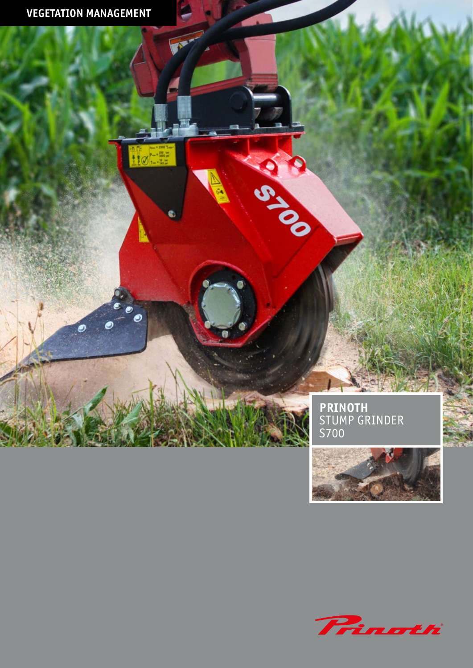$\begin{array}{l} 1 \\ 1 \\ 2 \\ 3 \\ 4 \\ 5 \\ \end{array} \otimes \begin{array}{l} 1 \\ 1 \\ 2 \\ 3 \\ 4 \\ 5 \\ \end{array} \otimes \begin{array}{l} 1 \\ 1 \\ 2 \\ 3 \\ 4 \\ 5 \\ \end{array}$ 

ℯ

**PRINOTH** STUMP GRINDER S700

C.C.C.



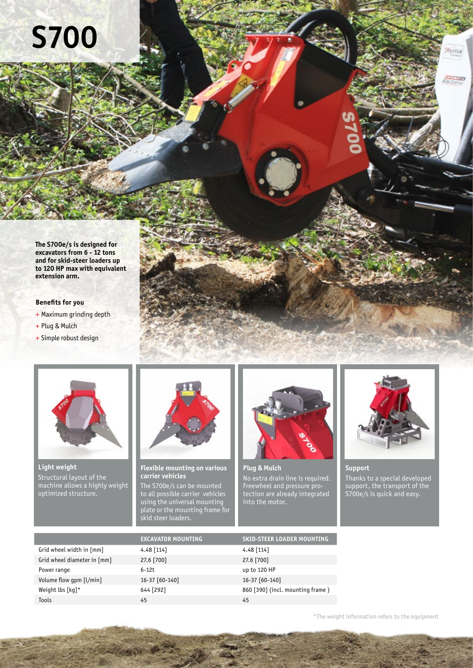## **S700**

**The S700e/s is designed for excavators from 6 - 12 tons and for skid-steer loaders up to 120 HP max with equivalent extension arm.**

## **Benefits for you**

- + Maximum grinding depth
- + Plug & Mulch
- + Simple robust design



**Light weight** Structural layout of the machine allows a highly weight optimized structure.



**Flexible mounting on various carrier vehicles**

The S700e/s can be mounted to all possible carrier vehicles using the universal mounting plate or the mounting frame for .<br>skid steer loaders.



**Plug & Mulch** No extra drain line is required. Freewheel and pressure protection are already integrated into the motor.



**Oystick** 

nang

**Support** Thanks to a special developed support, the transport of the S700e/s is quick and easy.

|                             | <b>EXCAVATOR MOUNTING</b> | <b>SKID-STEER LOADER MOUNTING</b> |
|-----------------------------|---------------------------|-----------------------------------|
| Grid wheel width in [mm]    | $4.48$ [114]              | $4.48$ [114]                      |
| Grid wheel diameter in [mm] | 27.6 [700]                | 27.6 [700]                        |
| Power range                 | $6 - 12t$                 | up to 120 HP                      |
| Volume flow qpm [l/min]     | 16-37 [60-140]            | 16-37 [60-140]                    |
| Weight lbs [kq]*            | 644 [292]                 | 860 [390] (incl. mounting frame)  |
| Tools                       | 45                        | 45                                |
|                             |                           |                                   |

\*The weight information refers to the equipment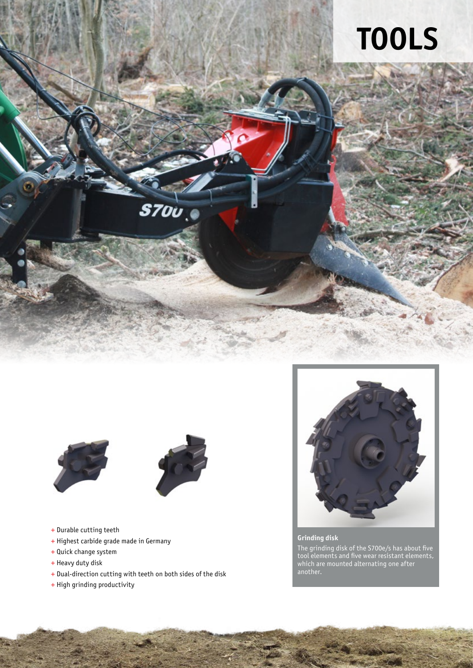





- + Durable cutting teeth
- + Highest carbide grade made in Germany
- + Quick change system
- + Heavy duty disk
- + Dual-direction cutting with teeth on both sides of the disk
- + High grinding productivity



## **Grinding disk**

The grinding disk of the S700e/s has about five tool elements and five wear resistant elements, which are mounted alternating one after another.